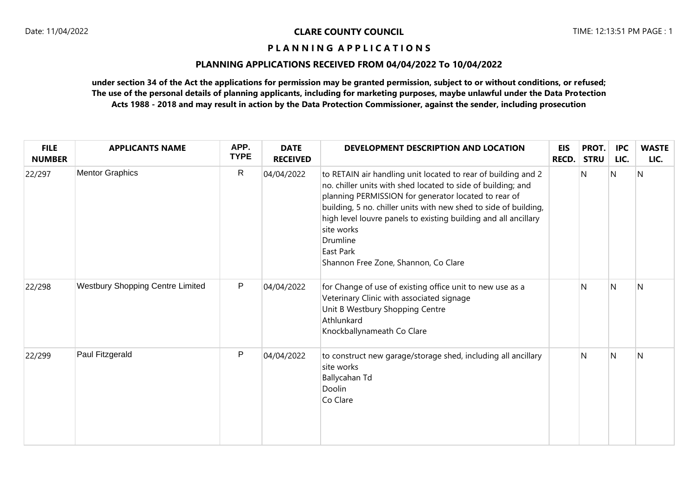## **PLANNING APPLICATIONS RECEIVED FROM 04/04/2022 To 10/04/2022**

| <b>FILE</b><br><b>NUMBER</b> | <b>APPLICANTS NAME</b>                  | APP.<br><b>TYPE</b> | <b>DATE</b><br><b>RECEIVED</b> | DEVELOPMENT DESCRIPTION AND LOCATION                                                                                                                                                                                                                                                                                                                                                                        | <b>EIS</b><br><b>RECD.</b> | PROT.<br><b>STRU</b> | <b>IPC</b><br>LIC. | <b>WASTE</b><br>LIC. |
|------------------------------|-----------------------------------------|---------------------|--------------------------------|-------------------------------------------------------------------------------------------------------------------------------------------------------------------------------------------------------------------------------------------------------------------------------------------------------------------------------------------------------------------------------------------------------------|----------------------------|----------------------|--------------------|----------------------|
| 22/297                       | <b>Mentor Graphics</b>                  | $\mathsf{R}$        | 04/04/2022                     | to RETAIN air handling unit located to rear of building and 2<br>no. chiller units with shed located to side of building; and<br>planning PERMISSION for generator located to rear of<br>building, 5 no. chiller units with new shed to side of building,<br>high level louvre panels to existing building and all ancillary<br>site works<br>Drumline<br>East Park<br>Shannon Free Zone, Shannon, Co Clare |                            | N                    | Ν                  | N                    |
| 22/298                       | <b>Westbury Shopping Centre Limited</b> | P                   | 04/04/2022                     | for Change of use of existing office unit to new use as a<br>Veterinary Clinic with associated signage<br>Unit B Westbury Shopping Centre<br>Athlunkard<br>Knockballynameath Co Clare                                                                                                                                                                                                                       |                            | N                    | N                  | N                    |
| 22/299                       | Paul Fitzgerald                         | P                   | 04/04/2022                     | to construct new garage/storage shed, including all ancillary<br>site works<br>Ballycahan Td<br>Doolin<br>Co Clare                                                                                                                                                                                                                                                                                          |                            | N                    | $\mathsf{N}$       | N                    |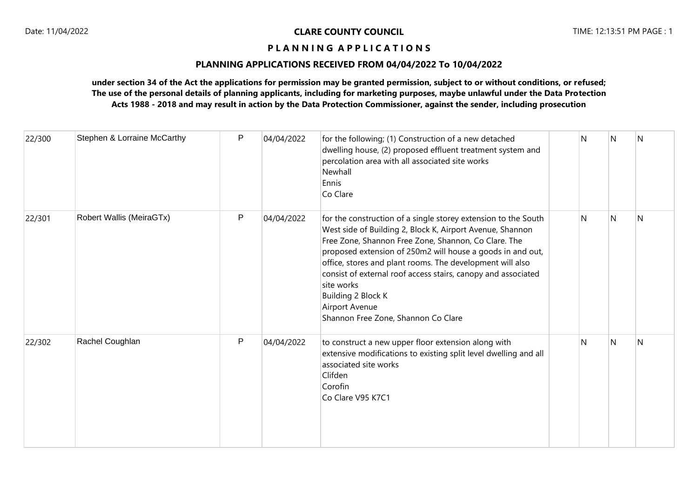# **PLANNING APPLICATIONS RECEIVED FROM 04/04/2022 To 10/04/2022**

| 22/300 | Stephen & Lorraine McCarthy | P            | 04/04/2022 | for the following; (1) Construction of a new detached<br>dwelling house, (2) proposed effluent treatment system and<br>percolation area with all associated site works<br>Newhall<br>Ennis<br>Co Clare                                                                                                                                                                                                                                                                       | N  | N            | N |
|--------|-----------------------------|--------------|------------|------------------------------------------------------------------------------------------------------------------------------------------------------------------------------------------------------------------------------------------------------------------------------------------------------------------------------------------------------------------------------------------------------------------------------------------------------------------------------|----|--------------|---|
| 22/301 | Robert Wallis (MeiraGTx)    | P            | 04/04/2022 | for the construction of a single storey extension to the South<br>West side of Building 2, Block K, Airport Avenue, Shannon<br>Free Zone, Shannon Free Zone, Shannon, Co Clare. The<br>proposed extension of 250m2 will house a goods in and out,<br>office, stores and plant rooms. The development will also<br>consist of external roof access stairs, canopy and associated<br>site works<br>Building 2 Block K<br>Airport Avenue<br>Shannon Free Zone, Shannon Co Clare | N. | N            | N |
| 22/302 | Rachel Coughlan             | $\mathsf{P}$ | 04/04/2022 | to construct a new upper floor extension along with<br>extensive modifications to existing split level dwelling and all<br>associated site works<br>Clifden<br>Corofin<br>Co Clare V95 K7C1                                                                                                                                                                                                                                                                                  | N  | $\mathsf{N}$ | N |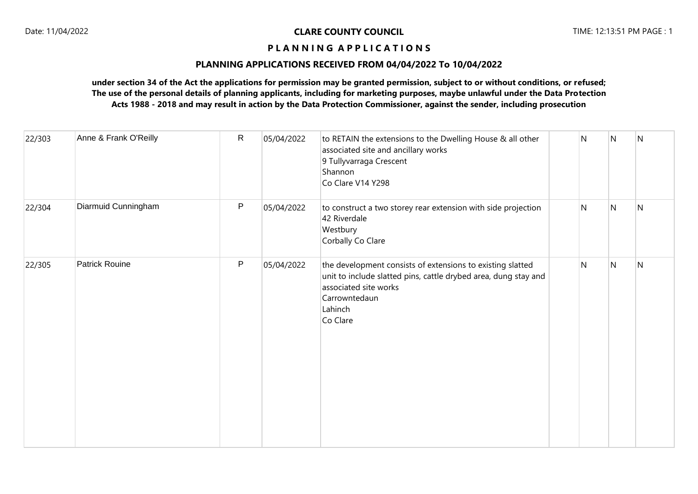# **PLANNING APPLICATIONS RECEIVED FROM 04/04/2022 To 10/04/2022**

| 22/303 | Anne & Frank O'Reilly | $\mathsf{R}$ | 05/04/2022 | to RETAIN the extensions to the Dwelling House & all other<br>associated site and ancillary works<br>9 Tullyvarraga Crescent<br>Shannon<br>Co Clare V14 Y298                                   | $\mathsf{N}$ | N              | $\mathsf{N}$ |
|--------|-----------------------|--------------|------------|------------------------------------------------------------------------------------------------------------------------------------------------------------------------------------------------|--------------|----------------|--------------|
| 22/304 | Diarmuid Cunningham   | P            | 05/04/2022 | to construct a two storey rear extension with side projection<br>42 Riverdale<br>Westbury<br>Corbally Co Clare                                                                                 | $\mathsf{N}$ | $\overline{N}$ | ${\sf N}$    |
| 22/305 | <b>Patrick Rouine</b> | P            | 05/04/2022 | the development consists of extensions to existing slatted<br>unit to include slatted pins, cattle drybed area, dung stay and<br>associated site works<br>Carrowntedaun<br>Lahinch<br>Co Clare | $\mathsf{N}$ | $\mathsf{N}$   | ${\sf N}$    |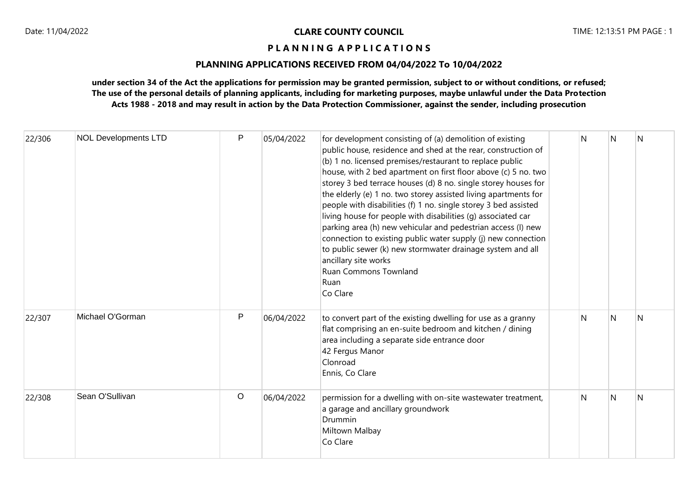# **PLANNING APPLICATIONS RECEIVED FROM 04/04/2022 To 10/04/2022**

| 22/306 | <b>NOL Developments LTD</b> | P       | 05/04/2022 | for development consisting of (a) demolition of existing<br>public house, residence and shed at the rear, construction of<br>(b) 1 no. licensed premises/restaurant to replace public<br>house, with 2 bed apartment on first floor above (c) 5 no. two<br>storey 3 bed terrace houses (d) 8 no. single storey houses for<br>the elderly (e) 1 no. two storey assisted living apartments for<br>people with disabilities (f) 1 no. single storey 3 bed assisted<br>living house for people with disabilities (g) associated car<br>parking area (h) new vehicular and pedestrian access (l) new<br>connection to existing public water supply (j) new connection<br>to public sewer (k) new stormwater drainage system and all<br>ancillary site works<br>Ruan Commons Townland<br>Ruan<br>Co Clare | N | N | N |
|--------|-----------------------------|---------|------------|-----------------------------------------------------------------------------------------------------------------------------------------------------------------------------------------------------------------------------------------------------------------------------------------------------------------------------------------------------------------------------------------------------------------------------------------------------------------------------------------------------------------------------------------------------------------------------------------------------------------------------------------------------------------------------------------------------------------------------------------------------------------------------------------------------|---|---|---|
| 22/307 | Michael O'Gorman            | P       | 06/04/2022 | to convert part of the existing dwelling for use as a granny<br>flat comprising an en-suite bedroom and kitchen / dining<br>area including a separate side entrance door<br>42 Fergus Manor<br>Clonroad<br>Ennis, Co Clare                                                                                                                                                                                                                                                                                                                                                                                                                                                                                                                                                                          | N | N | N |
| 22/308 | Sean O'Sullivan             | $\circ$ | 06/04/2022 | permission for a dwelling with on-site wastewater treatment,<br>a garage and ancillary groundwork<br>Drummin<br>Miltown Malbay<br>Co Clare                                                                                                                                                                                                                                                                                                                                                                                                                                                                                                                                                                                                                                                          | N | N | N |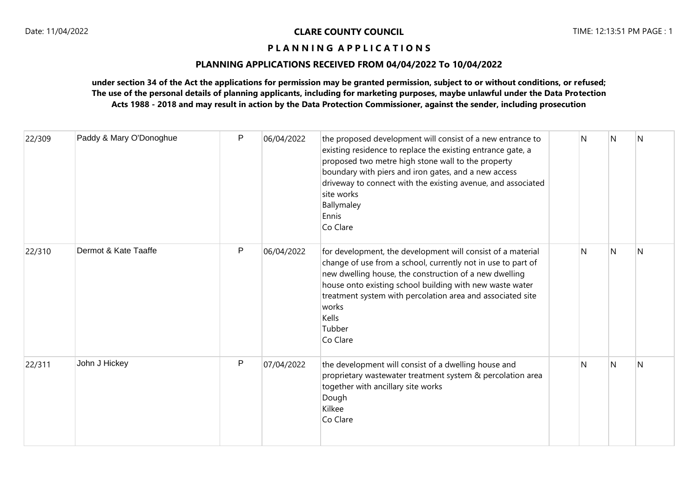# **PLANNING APPLICATIONS RECEIVED FROM 04/04/2022 To 10/04/2022**

| 22/309 | Paddy & Mary O'Donoghue | $\mathsf{P}$ | 06/04/2022 | the proposed development will consist of a new entrance to<br>existing residence to replace the existing entrance gate, a<br>proposed two metre high stone wall to the property<br>boundary with piers and iron gates, and a new access<br>driveway to connect with the existing avenue, and associated<br>site works<br>Ballymaley<br>Ennis<br>Co Clare       | N | N | N |
|--------|-------------------------|--------------|------------|----------------------------------------------------------------------------------------------------------------------------------------------------------------------------------------------------------------------------------------------------------------------------------------------------------------------------------------------------------------|---|---|---|
| 22/310 | Dermot & Kate Taaffe    | P            | 06/04/2022 | for development, the development will consist of a material<br>change of use from a school, currently not in use to part of<br>new dwelling house, the construction of a new dwelling<br>house onto existing school building with new waste water<br>treatment system with percolation area and associated site<br>works<br><b>Kells</b><br>Tubber<br>Co Clare | N | N | N |
| 22/311 | John J Hickey           | P            | 07/04/2022 | the development will consist of a dwelling house and<br>proprietary wastewater treatment system & percolation area<br>together with ancillary site works<br>Dough<br>Kilkee<br>Co Clare                                                                                                                                                                        | N | N | N |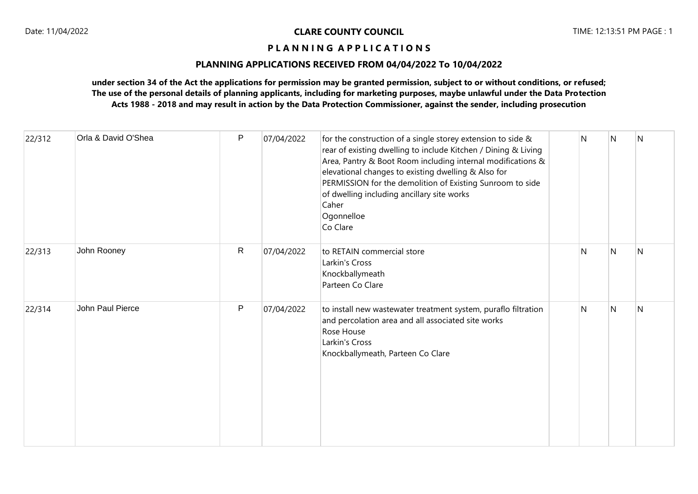# **PLANNING APPLICATIONS RECEIVED FROM 04/04/2022 To 10/04/2022**

| 22/312 | Orla & David O'Shea | $\mathsf{P}$ | 07/04/2022 | for the construction of a single storey extension to side &<br>rear of existing dwelling to include Kitchen / Dining & Living<br>Area, Pantry & Boot Room including internal modifications &<br>elevational changes to existing dwelling & Also for<br>PERMISSION for the demolition of Existing Sunroom to side<br>of dwelling including ancillary site works<br>Caher<br>Ogonnelloe<br>Co Clare | N            | N | N |
|--------|---------------------|--------------|------------|---------------------------------------------------------------------------------------------------------------------------------------------------------------------------------------------------------------------------------------------------------------------------------------------------------------------------------------------------------------------------------------------------|--------------|---|---|
| 22/313 | John Rooney         | $\mathsf{R}$ | 07/04/2022 | to RETAIN commercial store<br>Larkin's Cross<br>Knockballymeath<br>Parteen Co Clare                                                                                                                                                                                                                                                                                                               | $\mathsf{N}$ | N | N |
| 22/314 | John Paul Pierce    | $\mathsf{P}$ | 07/04/2022 | to install new wastewater treatment system, puraflo filtration<br>and percolation area and all associated site works<br>Rose House<br>Larkin's Cross<br>Knockballymeath, Parteen Co Clare                                                                                                                                                                                                         | N            | N | N |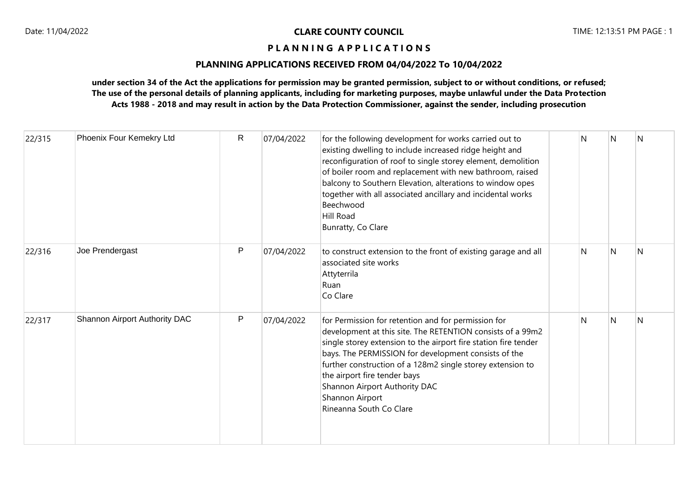# **PLANNING APPLICATIONS RECEIVED FROM 04/04/2022 To 10/04/2022**

| 22/315 | Phoenix Four Kemekry Ltd      | $\mathsf{R}$ | 07/04/2022 | for the following development for works carried out to<br>existing dwelling to include increased ridge height and<br>reconfiguration of roof to single storey element, demolition<br>of boiler room and replacement with new bathroom, raised<br>balcony to Southern Elevation, alterations to window opes<br>together with all associated ancillary and incidental works<br>Beechwood<br>Hill Road<br>Bunratty, Co Clare | N            | N            | N            |
|--------|-------------------------------|--------------|------------|---------------------------------------------------------------------------------------------------------------------------------------------------------------------------------------------------------------------------------------------------------------------------------------------------------------------------------------------------------------------------------------------------------------------------|--------------|--------------|--------------|
| 22/316 | Joe Prendergast               | P            | 07/04/2022 | to construct extension to the front of existing garage and all<br>associated site works<br>Attyterrila<br>Ruan<br>Co Clare                                                                                                                                                                                                                                                                                                | N            | N            | N            |
| 22/317 | Shannon Airport Authority DAC | $\mathsf{P}$ | 07/04/2022 | for Permission for retention and for permission for<br>development at this site. The RETENTION consists of a 99m2<br>single storey extension to the airport fire station fire tender<br>bays. The PERMISSION for development consists of the<br>further construction of a 128m2 single storey extension to<br>the airport fire tender bays<br>Shannon Airport Authority DAC<br>Shannon Airport<br>Rineanna South Co Clare | $\mathsf{N}$ | $\mathsf{N}$ | $\mathsf{N}$ |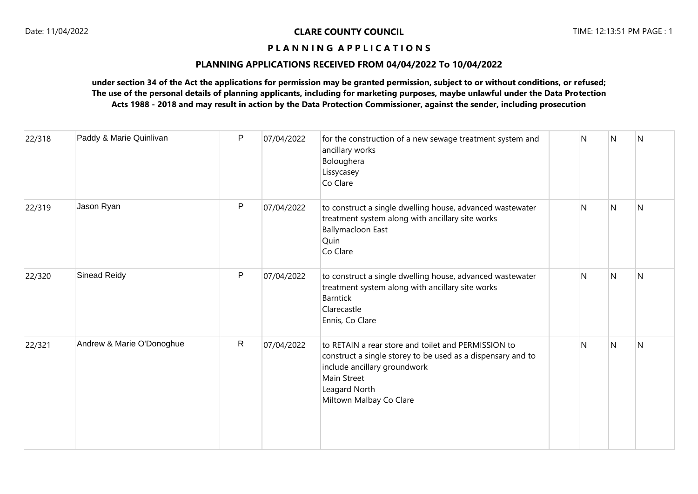# **PLANNING APPLICATIONS RECEIVED FROM 04/04/2022 To 10/04/2022**

| 22/318 | Paddy & Marie Quinlivan   | P | 07/04/2022 | for the construction of a new sewage treatment system and<br>ancillary works<br>Boloughera<br>Lissycasey<br>Co Clare                                                                                          | N | N | N |
|--------|---------------------------|---|------------|---------------------------------------------------------------------------------------------------------------------------------------------------------------------------------------------------------------|---|---|---|
| 22/319 | Jason Ryan                | P | 07/04/2022 | to construct a single dwelling house, advanced wastewater<br>treatment system along with ancillary site works<br><b>Ballymacloon East</b><br>Quin<br>Co Clare                                                 | N | N | N |
| 22/320 | <b>Sinead Reidy</b>       | P | 07/04/2022 | to construct a single dwelling house, advanced wastewater<br>treatment system along with ancillary site works<br><b>Barntick</b><br>Clarecastle<br>Ennis, Co Clare                                            | N | N | N |
| 22/321 | Andrew & Marie O'Donoghue | R | 07/04/2022 | to RETAIN a rear store and toilet and PERMISSION to<br>construct a single storey to be used as a dispensary and to<br>include ancillary groundwork<br>Main Street<br>Leagard North<br>Miltown Malbay Co Clare | N | N | N |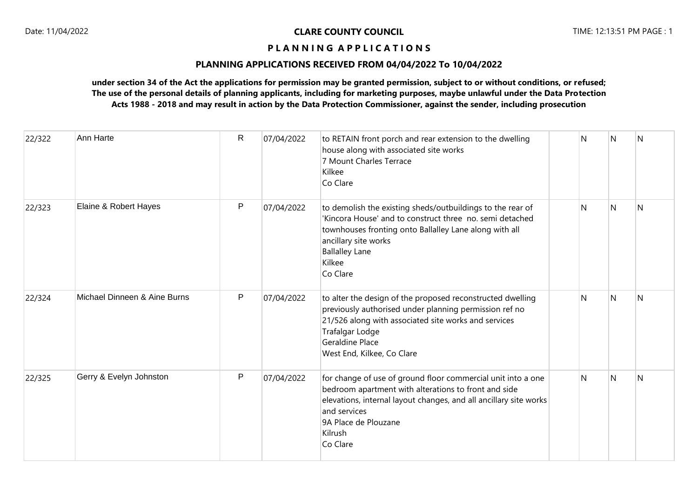# **PLANNING APPLICATIONS RECEIVED FROM 04/04/2022 To 10/04/2022**

| 22/322 | Ann Harte                    | $\mathsf{R}$ | 07/04/2022 | to RETAIN front porch and rear extension to the dwelling<br>house along with associated site works<br>7 Mount Charles Terrace<br>Kilkee<br>Co Clare                                                                                                      | N  | N            | N |
|--------|------------------------------|--------------|------------|----------------------------------------------------------------------------------------------------------------------------------------------------------------------------------------------------------------------------------------------------------|----|--------------|---|
| 22/323 | Elaine & Robert Hayes        | P            | 07/04/2022 | to demolish the existing sheds/outbuildings to the rear of<br>'Kincora House' and to construct three no, semi detached<br>townhouses fronting onto Ballalley Lane along with all<br>ancillary site works<br><b>Ballalley Lane</b><br>Kilkee<br>Co Clare  | N. | N            | N |
| 22/324 | Michael Dinneen & Aine Burns | P            | 07/04/2022 | to alter the design of the proposed reconstructed dwelling<br>previously authorised under planning permission ref no<br>21/526 along with associated site works and services<br>Trafalgar Lodge<br><b>Geraldine Place</b><br>West End, Kilkee, Co Clare  | N. | N            | N |
| 22/325 | Gerry & Evelyn Johnston      | P            | 07/04/2022 | for change of use of ground floor commercial unit into a one<br>bedroom apartment with alterations to front and side<br>elevations, internal layout changes, and all ancillary site works<br>and services<br>9A Place de Plouzane<br>Kilrush<br>Co Clare | N  | $\mathsf{N}$ | N |